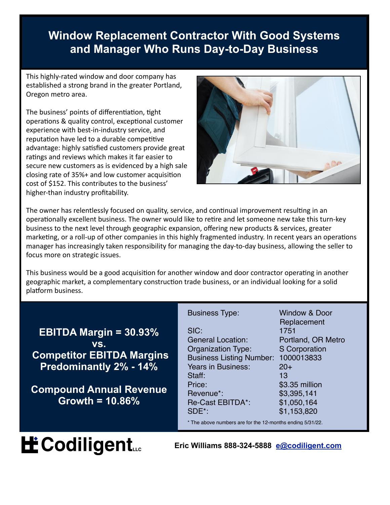### **Window Replacement Contractor With Good Systems and Manager Who Runs Day-to-Day Business**

This highly-rated window and door company has established a strong brand in the greater Portland, Oregon metro area.

The business' points of differentiation, tight operations & quality control, exceptional customer experience with best-in-industry service, and reputation have led to a durable competitive advantage: highly satisfied customers provide great ratings and reviews which makes it far easier to secure new customers as is evidenced by a high sale closing rate of  $35%$ + and low customer acquisition cost of \$152. This contributes to the business' higher-than industry profitability.



The owner has relentlessly focused on quality, service, and continual improvement resulting in an operationally excellent business. The owner would like to retire and let someone new take this turn-key business to the next level through geographic expansion, offering new products & services, greater marketing, or a roll-up of other companies in this highly fragmented industry. In recent years an operations manager has increasingly taken responsibility for managing the day-to-day business, allowing the seller to focus more on strategic issues.

This business would be a good acquisition for another window and door contractor operating in another geographic market, a complementary construction trade business, or an individual looking for a solid platform business.

|                                                                                                                         | <b>Business Type:</b>                                                                                                            | Window & Door<br>Replacement                                             |
|-------------------------------------------------------------------------------------------------------------------------|----------------------------------------------------------------------------------------------------------------------------------|--------------------------------------------------------------------------|
| <b>EBITDA Margin = <math>30.93\%</math></b><br>VS.<br><b>Competitor EBITDA Margins</b><br><b>Predominantly 2% - 14%</b> | SIC:<br><b>General Location:</b><br><b>Organization Type:</b><br><b>Business Listing Number:</b><br>Years in Business:<br>Staff: | 1751<br>Portland, OR Metro<br>S Corporation<br>1000013833<br>$20+$<br>13 |
| <b>Compound Annual Revenue</b><br>Growth = $10.86\%$                                                                    | Price:<br>Revenue*:<br><b>Re-Cast EBITDA*:</b><br>SDE*:<br>* The above numbers are for the 12-months ending 5/31/22.             | \$3.35 million<br>\$3,395,141<br>\$1,050,164<br>\$1,153,820              |

# **H**: Codiligent...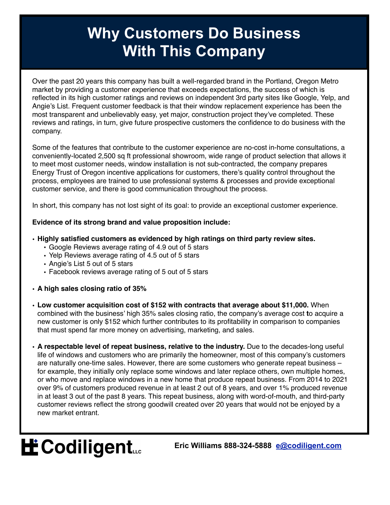### **Why Customers Do Business With This Company**

Over the past 20 years this company has built a well-regarded brand in the Portland, Oregon Metro market by providing a customer experience that exceeds expectations, the success of which is reflected in its high customer ratings and reviews on independent 3rd party sites like Google, Yelp, and Angie's List. Frequent customer feedback is that their window replacement experience has been the most transparent and unbelievably easy, yet major, construction project they've completed. These reviews and ratings, in turn, give future prospective customers the confidence to do business with the company.

Some of the features that contribute to the customer experience are no-cost in-home consultations, a conveniently-located 2,500 sq ft professional showroom, wide range of product selection that allows it to meet most customer needs, window installation is not sub-contracted, the company prepares Energy Trust of Oregon incentive applications for customers, there's quality control throughout the process, employees are trained to use professional systems & processes and provide exceptional customer service, and there is good communication throughout the process.

In short, this company has not lost sight of its goal: to provide an exceptional customer experience.

#### **Evidence of its strong brand and value proposition include:**

#### **• Highly satisfied customers as evidenced by high ratings on third party review sites.**

- Google Reviews average rating of 4.9 out of 5 stars
- Yelp Reviews average rating of 4.5 out of 5 stars
- Angie's List 5 out of 5 stars
- Facebook reviews average rating of 5 out of 5 stars
- **• A high sales closing ratio of 35%**
- **• Low customer acquisition cost of \$152 with contracts that average about \$11,000.** When combined with the business' high 35% sales closing ratio, the company's average cost **t**o acquire a new customer is only \$152 which further contributes to its profitability in comparison to companies that must spend far more money on advertising, marketing, and sales.
- **• A respectable level of repeat business, relative to the industry.** Due to the decades-long useful life of windows and customers who are primarily the homeowner, most of this company's customers are naturally one-time sales. However, there are some customers who generate repeat business – for example, they initially only replace some windows and later replace others, own multiple homes, or who move and replace windows in a new home that produce repeat business. From 2014 to 2021 over 9% of customers produced revenue in at least 2 out of 8 years, and over 1% produced revenue in at least 3 out of the past 8 years. This repeat business, along with word-of-mouth, and third-party customer reviews reflect the strong goodwill created over 20 years that would not be enjoyed by a new market entrant.

# **H** Codiligent...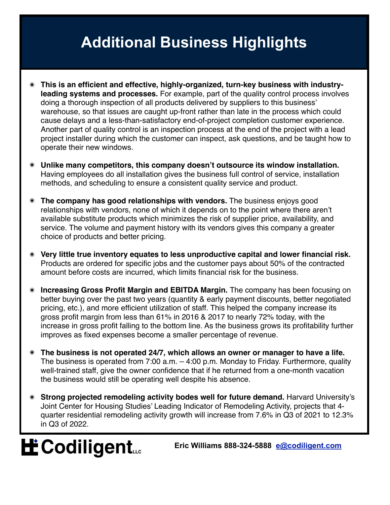### **Additional Business Highlights**

- ๏ **This is an efficient and effective, highly-organized, turn-key business with industryleading systems and processes.** For example, part of the quality control process involves doing a thorough inspection of all products delivered by suppliers to this business' warehouse, so that issues are caught up-front rather than late in the process which could cause delays and a less-than-satisfactory end-of-project completion customer experience. Another part of quality control is an inspection process at the end of the project with a lead project installer during which the customer can inspect, ask questions, and be taught how to operate their new windows.
- ๏ **Unlike many competitors, this company doesn't outsource its window installation.**  Having employees do all installation gives the business full control of service, installation methods, and scheduling to ensure a consistent quality service and product.
- **The company has good relationships with vendors.** The business enjoys good relationships with vendors, none of which it depends on to the point where there aren't available substitute products which minimizes the risk of supplier price, availability, and service. The volume and payment history with its vendors gives this company a greater choice of products and better pricing.
- ๏ **Very little true inventory equates to less unproductive capital and lower financial risk.**  Products are ordered for specific jobs and the customer pays about 50% of the contracted amount before costs are incurred, which limits financial risk for the business.
- ๏ **Increasing Gross Profit Margin and EBITDA Margin.** The company has been focusing on better buying over the past two years (quantity & early payment discounts, better negotiated pricing, etc.), and more efficient utilization of staff. This helped the company increase its gross profit margin from less than 61% in 2016 & 2017 to nearly 72% today, with the increase in gross profit falling to the bottom line. As the business grows its profitability further improves as fixed expenses become a smaller percentage of revenue.
- ๏ **The business is not operated 24/7, which allows an owner or manager to have a life.**  The business is operated from 7:00 a.m. – 4:00 p.m. Monday to Friday. Furthermore, quality well-trained staff, give the owner confidence that if he returned from a one-month vacation the business would still be operating well despite his absence.
- **Strong projected remodeling activity bodes well for future demand.** Harvard University's Joint Center for Housing Studies' Leading Indicator of Remodeling Activity, projects that 4 quarter residential remodeling activity growth will increase from 7.6% in Q3 of 2021 to 12.3% in Q3 of 2022.

# **LE Codiligent...**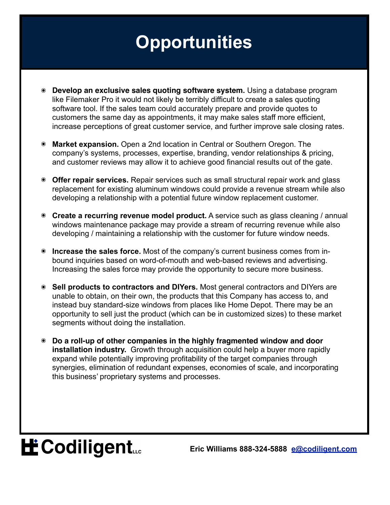## **Opportunities**

- ๏ **Develop an exclusive sales quoting software system.** Using a database program like Filemaker Pro it would not likely be terribly difficult to create a sales quoting software tool. If the sales team could accurately prepare and provide quotes to customers the same day as appointments, it may make sales staff more efficient, increase perceptions of great customer service, and further improve sale closing rates.
- ๏ **Market expansion.** Open a 2nd location in Central or Southern Oregon. The company's systems, processes, expertise, branding, vendor relationships & pricing, and customer reviews may allow it to achieve good financial results out of the gate.
- ๏ **Offer repair services.** Repair services such as small structural repair work and glass replacement for existing aluminum windows could provide a revenue stream while also developing a relationship with a potential future window replacement customer.
- ๏ **Create a recurring revenue model product.** A service such as glass cleaning / annual windows maintenance package may provide a stream of recurring revenue while also developing / maintaining a relationship with the customer for future window needs.
- ๏ **Increase the sales force.** Most of the company's current business comes from inbound inquiries based on word-of-mouth and web-based reviews and advertising. Increasing the sales force may provide the opportunity to secure more business.
- ๏ **Sell products to contractors and DIYers.** Most general contractors and DIYers are unable to obtain, on their own, the products that this Company has access to, and instead buy standard-size windows from places like Home Depot. There may be an opportunity to sell just the product (which can be in customized sizes) to these market segments without doing the installation.
- ๏ **Do a roll-up of other companies in the highly fragmented window and door installation industry.** Growth through acquisition could help a buyer more rapidly expand while potentially improving profitability of the target companies through synergies, elimination of redundant expenses, economies of scale, and incorporating this business' proprietary systems and processes.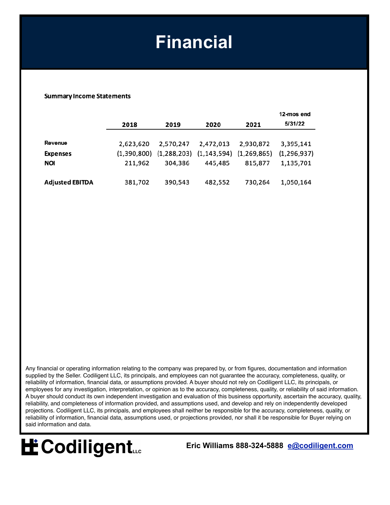### **Financial**

#### **Summary Income Statements**

|                        |           |           |                                           |             | 12-mos end    |
|------------------------|-----------|-----------|-------------------------------------------|-------------|---------------|
|                        | 2018      | 2019      | 2020                                      | 2021        | 5/31/22       |
|                        |           |           |                                           |             |               |
| Revenue                | 2,623,620 | 2,570,247 | 2,472,013                                 | 2,930,872   | 3,395,141     |
| Expenses               |           |           | $(1,390,800)$ $(1,288,203)$ $(1,143,594)$ | (1,269,865) | (1, 296, 937) |
| <b>NOI</b>             | 211,962   | 304,386   | 445,485                                   | 815,877     | 1,135,701     |
|                        |           |           |                                           |             |               |
| <b>Adjusted EBITDA</b> | 381,702   | 390,543   | 482,552                                   | 730,264     | 1,050,164     |

Any financial or operating information relating to the company was prepared by, or from figures, documentation and information supplied by the Seller. Codiligent LLC, its principals, and employees can not guarantee the accuracy, completeness, quality, or reliability of information, financial data, or assumptions provided. A buyer should not rely on Codiligent LLC, its principals, or employees for any investigation, interpretation, or opinion as to the accuracy, completeness, quality, or reliability of said information. A buyer should conduct its own independent investigation and evaluation of this business opportunity, ascertain the accuracy, quality, reliability, and completeness of information provided, and assumptions used, and develop and rely on independently developed projections. Codiligent LLC, its principals, and employees shall neither be responsible for the accuracy, completeness, quality, or reliability of information, financial data, assumptions used, or projections provided, nor shall it be responsible for Buyer relying on said information and data.

# **H** Codiligent...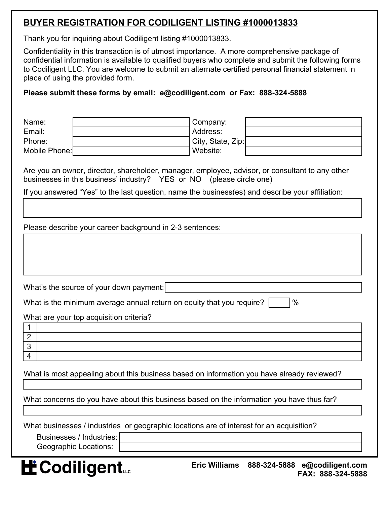### **BUYER REGISTRATION FOR CODILIGENT LISTING #1000013833**

Thank you for inquiring about Codiligent listing #1000013833.

Confidentiality in this transaction is of utmost importance. A more comprehensive package of confidential information is available to qualified buyers who complete and submit the following forms to Codiligent LLC. You are welcome to submit an alternate certified personal financial statement in place of using the provided form.

#### **Please submit these forms by email: e@codiligent.com or Fax: 888-324-5888**

| Name:<br>Email:<br>Phone:<br>Mobile Phone:                                                 | Company:<br>Address:<br>City, State, Zip:<br>Website:                                            |  |  |  |
|--------------------------------------------------------------------------------------------|--------------------------------------------------------------------------------------------------|--|--|--|
| businesses in this business' industry? YES or NO (please circle one)                       | Are you an owner, director, shareholder, manager, employee, advisor, or consultant to any other  |  |  |  |
|                                                                                            | If you answered "Yes" to the last question, name the business(es) and describe your affiliation: |  |  |  |
|                                                                                            |                                                                                                  |  |  |  |
| Please describe your career background in 2-3 sentences:                                   |                                                                                                  |  |  |  |
|                                                                                            |                                                                                                  |  |  |  |
|                                                                                            |                                                                                                  |  |  |  |
| What's the source of your down payment:                                                    |                                                                                                  |  |  |  |
| %<br>What is the minimum average annual return on equity that you require?                 |                                                                                                  |  |  |  |
| What are your top acquisition criteria?                                                    |                                                                                                  |  |  |  |
|                                                                                            |                                                                                                  |  |  |  |
| $\overline{2}$<br>3                                                                        |                                                                                                  |  |  |  |
| 4                                                                                          |                                                                                                  |  |  |  |
| What is most appealing about this business based on information you have already reviewed? |                                                                                                  |  |  |  |
| What concerns do you have about this business based on the information you have thus far?  |                                                                                                  |  |  |  |
| What businesses / industries or geographic locations are of interest for an acquisition?   |                                                                                                  |  |  |  |
| Businesses / Industries:                                                                   |                                                                                                  |  |  |  |
| <b>Geographic Locations:</b>                                                               |                                                                                                  |  |  |  |
| <b>E</b> Codiligent                                                                        | <b>Eric Williams</b><br>888-324-5888<br>e@codiligent.com<br>FAX: 888-324-5888                    |  |  |  |

**FAX: 888-324-5888**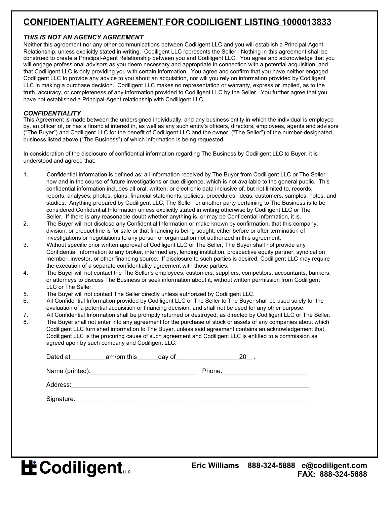### **CONFIDENTIALITY AGREEMENT FOR CODILIGENT LISTING 1000013833**

#### *THIS IS NOT AN AGENCY AGREEMENT*

Neither this agreement nor any other communications between Codiligent LLC and you will establish a Principal-Agent Relationship, unless explicitly stated in writing. Codiligent LLC represents the Seller. Nothing in this agreement shall be construed to create a Principal-Agent Relationship between you and Codiligent LLC. You agree and acknowledge that you will engage professional advisors as you deem necessary and appropriate in connection with a potential acquisition, and that Codiligent LLC is only providing you with certain information. You agree and confirm that you have neither engaged Codiligent LLC to provide any advice to you about an acquisition, nor will you rely on information provided by Codiligent LLC in making a purchase decision. Codiligent LLC makes no representation or warranty, express or implied, as to the truth, accuracy, or completeness of any information provided to Codiligent LLC by the Seller. You further agree that you have not established a Principal-Agent relationship with Codiligent LLC.

#### *CONFIDENTIALITY*

This Agreement is made between the undersigned individually, and any business entity in which the individual is employed by, an officer of, or has a financial interest in, as well as any such entity's officers, directors, employees, agents and advisors ("The Buyer") and Codiligent LLC for the benefit of Codiligent LLC and the owner ("The Seller") of the number-designated business listed above ("The Business") of which information is being requested.

In consideration of the disclosure of confidential information regarding The Business by Codiligent LLC to Buyer, it is understood and agreed that:

- 1. Confidential Information is defined as: all information received by The Buyer from Codiligent LLC or The Seller now and in the course of future investigations or due diligence, which is not available to the general public. This confidential information includes all oral, written, or electronic data inclusive of, but not limited to, records, reports, analyses, photos, plans, financial statements, policies, procedures, ideas, customers, samples, notes, and studies. Anything prepared by Codiligent LLC, The Seller, or another party pertaining to The Business is to be considered Confidential Information unless explicitly stated in writing otherwise by Codiligent LLC or The Seller. If there is any reasonable doubt whether anything is, or may be Confidential Information, it is.
- 2. The Buyer will not disclose any Confidential Information or make known by confirmation, that this company, division, or product line is for sale or that financing is being sought, either before or after termination of investigations or negotiations to any person or organization not authorized in this agreement.
- 3. Without specific prior written approval of Codiligent LLC or The Seller, The Buyer shall not provide any Confidential Information to any broker, intermediary, lending institution, prospective equity partner, syndication member, investor, or other financing source. If disclosure to such parties is desired, Codiligent LLC may require the execution of a separate confidentiality agreement with those parties.
- 4. The Buyer will not contact the The Seller's employees, customers, suppliers, competitors, accountants, bankers, or attorneys to discuss The Business or seek information about it, without written permission from Codiligent LLC or The Seller.
- 5. The Buyer will not contact The Seller directly unless authorized by Codiligent LLC.
- 6. All Confidential Information provided by Codiligent LLC or The Seller to The Buyer shall be used solely for the evaluation of a potential acquisition or financing decision, and shall not be used for any other purpose.
- 7. All Confidential Information shall be promptly returned or destroyed, as directed by Codiligent LLC or The Seller.
- 8. The Buyer shall not enter into any agreement for the purchase of stock or assets of any companies about which Codiligent LLC furnished information to The Buyer, unless said agreement contains an acknowledgement that Codiligent LLC is the procuring cause of such agreement and Codiligent LLC is entitled to a commission as agreed upon by such company and Codiligent LLC.

| Dated at        | am/pm this | day of |        | 20 |  |
|-----------------|------------|--------|--------|----|--|
| Name (printed): |            |        | Phone: |    |  |
| Address:        |            |        |        |    |  |

Signature:\_\_\_\_\_\_\_\_\_\_\_\_\_\_\_\_\_\_\_\_\_\_\_\_\_\_\_\_\_\_\_\_\_\_\_\_\_\_\_\_\_\_\_\_\_\_\_\_\_\_\_\_\_\_\_\_\_\_\_\_\_\_\_\_\_\_

**LE** Codiligent...